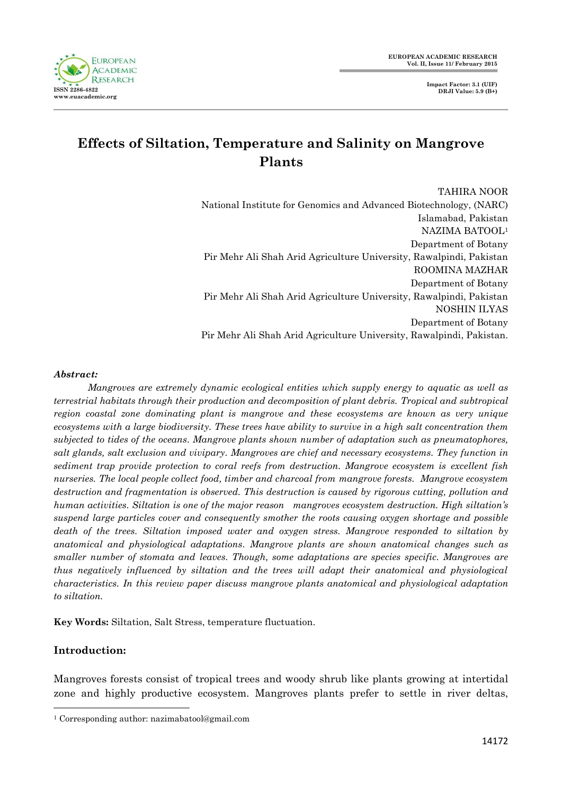

# **Effects of Siltation, Temperature and Salinity on Mangrove Plants**

| <b>TAHIRA NOOR</b>                                                   |
|----------------------------------------------------------------------|
| National Institute for Genomics and Advanced Biotechnology, (NARC)   |
| Islamabad, Pakistan                                                  |
| NAZIMA BATOOL <sup>1</sup>                                           |
| Department of Botany                                                 |
| Pir Mehr Ali Shah Arid Agriculture University, Rawalpindi, Pakistan  |
| ROOMINA MAZHAR                                                       |
| Department of Botany                                                 |
| Pir Mehr Ali Shah Arid Agriculture University, Rawalpindi, Pakistan  |
| NOSHIN ILYAS                                                         |
| Department of Botany                                                 |
| Pir Mehr Ali Shah Arid Agriculture University, Rawalpindi, Pakistan. |
|                                                                      |

## *Abstract:*

*Mangroves are extremely dynamic ecological entities which supply energy to aquatic as well as terrestrial habitats through their production and decomposition of plant debris. Tropical and subtropical region coastal zone dominating plant is mangrove and these ecosystems are known as very unique ecosystems with a large biodiversity. These trees have ability to survive in a high salt concentration them subjected to tides of the oceans. Mangrove plants shown number of adaptation such as pneumatophores, salt glands, salt exclusion and vivipary. Mangroves are chief and necessary ecosystems. They function in sediment trap provide protection to coral reefs from destruction. Mangrove ecosystem is excellent fish nurseries. The local people collect food, timber and charcoal from mangrove forests. Mangrove ecosystem destruction and fragmentation is observed. This destruction is caused by rigorous cutting, pollution and human activities. Siltation is one of the major reason mangroves ecosystem destruction. High siltation's suspend large particles cover and consequently smother the roots causing oxygen shortage and possible death of the trees. Siltation imposed water and oxygen stress. Mangrove responded to siltation by anatomical and physiological adaptations. Mangrove plants are shown anatomical changes such as smaller number of stomata and leaves. Though, some adaptations are species specific. Mangroves are thus negatively influenced by siltation and the trees will adapt their anatomical and physiological characteristics. In this review paper discuss mangrove plants anatomical and physiological adaptation to siltation.* 

**Key Words:** Siltation, Salt Stress, temperature fluctuation.

# **Introduction:**

 $\overline{a}$ 

Mangroves forests consist of tropical trees and woody shrub like plants growing at intertidal zone and highly productive ecosystem. Mangroves plants prefer to settle in river deltas,

<sup>1</sup> Corresponding author: nazimabatool@gmail.com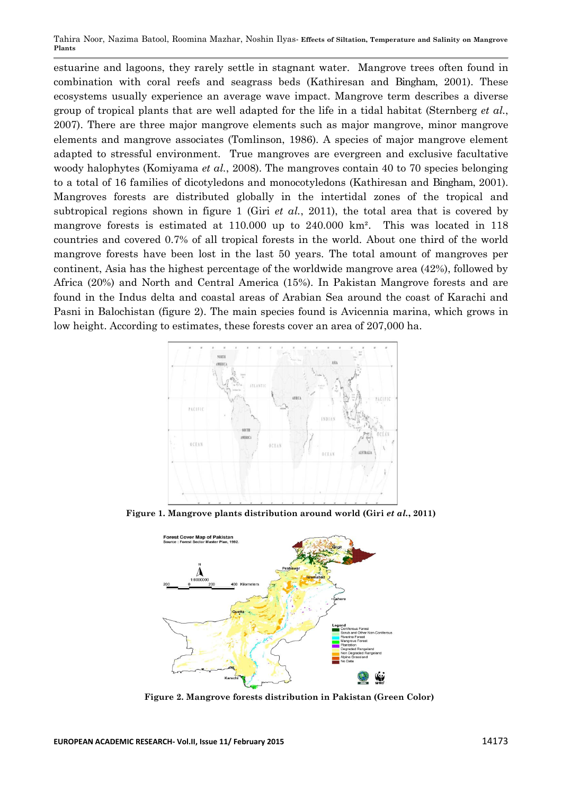estuarine and lagoons, they rarely settle in stagnant water. Mangrove trees often found in combination with coral reefs and seagrass beds (Kathiresan and Bingham, 2001). These ecosystems usually experience an average wave impact. Mangrove term describes a diverse group of tropical plants that are well adapted for the life in a tidal habitat (Sternberg *et al.*, 2007). There are three major mangrove elements such as major mangrove, minor mangrove elements and mangrove associates (Tomlinson, 1986). A species of major mangrove element adapted to stressful environment. True mangroves are evergreen and exclusive facultative woody halophytes (Komiyama *et al.*, 2008). The mangroves contain 40 to 70 species belonging to a total of 16 families of dicotyledons and monocotyledons (Kathiresan and Bingham, 2001). Mangroves forests are distributed globally in the intertidal zones of the tropical and subtropical regions shown in figure 1 (Giri *et al.*, 2011), the total area that is covered by mangrove forests is estimated at 110.000 up to 240.000 km². This was located in 118 countries and covered 0.7% of all tropical forests in the world. About one third of the world mangrove forests have been lost in the last 50 years. The total amount of mangroves per continent, Asia has the highest percentage of the worldwide mangrove area (42%), followed by Africa (20%) and North and Central America (15%). In Pakistan Mangrove forests and are found in the Indus delta and coastal areas of Arabian Sea around the coast of Karachi and Pasni in Balochistan (figure 2). The main species found is Avicennia marina, which grows in low height. According to estimates, these forests cover an area of 207,000 ha.



**Figure 1. Mangrove plants distribution around world (Giri** *et al.***, 2011)** 



**Figure 2. Mangrove forests distribution in Pakistan (Green Color)**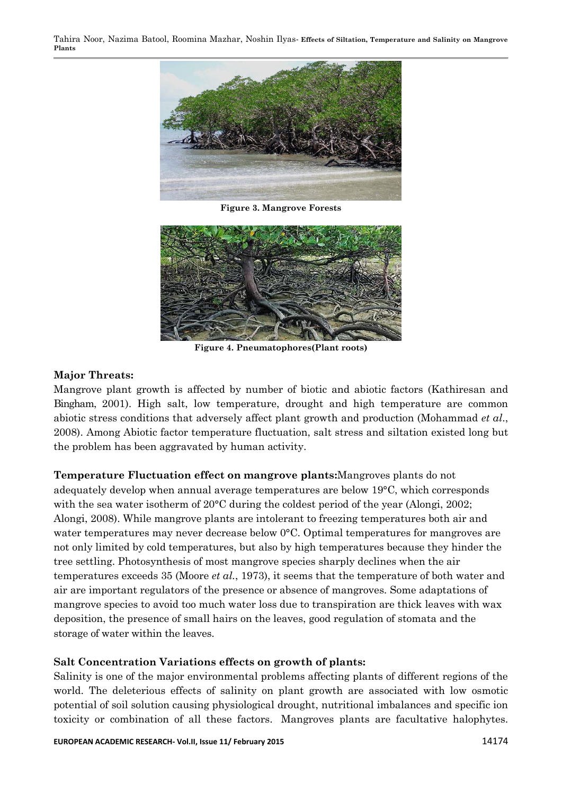

**Figure 3. Mangrove Forests**



**Figure 4. Pneumatophores(Plant roots)**

# **Major Threats:**

Mangrove plant growth is affected by number of biotic and abiotic factors (Kathiresan and Bingham, 2001). High salt, low temperature, drought and high temperature are common abiotic stress conditions that adversely affect plant growth and production (Mohammad *et al*., 2008). Among Abiotic factor temperature fluctuation, salt stress and siltation existed long but the problem has been aggravated by human activity.

**Temperature Fluctuation effect on mangrove plants:**Mangroves plants do not adequately develop when annual average temperatures are below 19°C, which corresponds with the sea water isotherm of 20<sup>o</sup>C during the coldest period of the year (Alongi, 2002; Alongi, 2008). While mangrove plants are intolerant to freezing temperatures both air and water temperatures may never decrease below 0<sup>o</sup>C. Optimal temperatures for mangroves are not only limited by cold temperatures, but also by high temperatures because they hinder the tree settling. Photosynthesis of most mangrove species sharply declines when the air temperatures exceeds 35 (Moore *et al.*, 1973), it seems that the temperature of both water and air are important regulators of the presence or absence of mangroves. Some adaptations of mangrove species to avoid too much water loss due to transpiration are thick leaves with wax deposition, the presence of small hairs on the leaves, good regulation of stomata and the storage of water within the leaves.

## **Salt Concentration Variations effects on growth of plants:**

Salinity is one of the major environmental problems affecting plants of different regions of the world. The deleterious effects of salinity on plant growth are associated with low osmotic potential of soil solution causing physiological drought, nutritional imbalances and specific ion toxicity or combination of all these factors. Mangroves plants are facultative halophytes.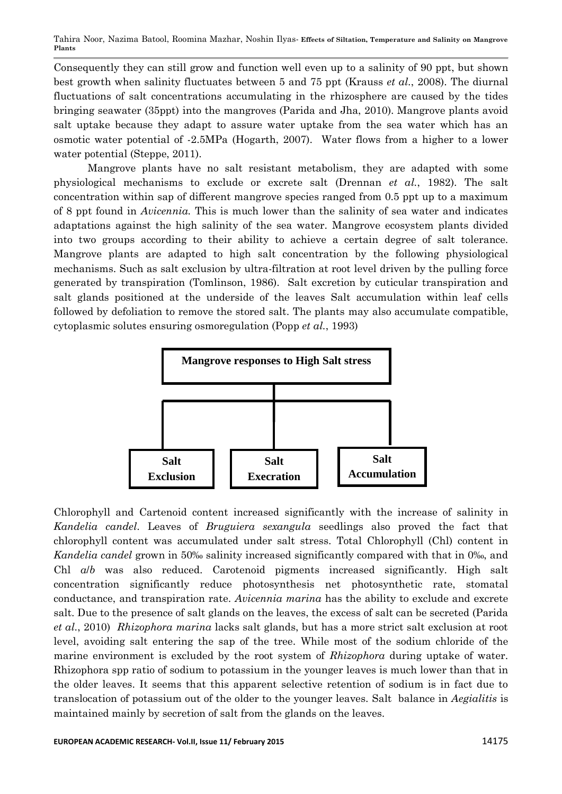Consequently they can still grow and function well even up to a salinity of 90 ppt, but shown best growth when salinity fluctuates between 5 and 75 ppt (Krauss *et al.*, 2008). The diurnal fluctuations of salt concentrations accumulating in the rhizosphere are caused by the tides bringing seawater (35ppt) into the mangroves (Parida and Jha, 2010). Mangrove plants avoid salt uptake because they adapt to assure water uptake from the sea water which has an osmotic water potential of -2.5MPa (Hogarth, 2007). Water flows from a higher to a lower water potential (Steppe, 2011).

Mangrove plants have no salt resistant metabolism, they are adapted with some physiological mechanisms to exclude or excrete salt (Drennan *et al.*, 1982). The salt concentration within sap of different mangrove species ranged from 0.5 ppt up to a maximum of 8 ppt found in *Avicennia.* This is much lower than the salinity of sea water and indicates adaptations against the high salinity of the sea water. Mangrove ecosystem plants divided into two groups according to their ability to achieve a certain degree of salt tolerance. Mangrove plants are adapted to high salt concentration by the following physiological mechanisms. Such as salt exclusion by ultra-filtration at root level driven by the pulling force generated by transpiration (Tomlinson, 1986). Salt excretion by cuticular transpiration and salt glands positioned at the underside of the leaves Salt accumulation within leaf cells followed by defoliation to remove the stored salt. The plants may also accumulate compatible, cytoplasmic solutes ensuring osmoregulation (Popp *et al.*, 1993)



Chlorophyll and Cartenoid content increased significantly with the increase of salinity in *Kandelia candel*. Leaves of *Bruguiera sexangula* seedlings also proved the fact that chlorophyll content was accumulated under salt stress. Total Chlorophyll (Chl) content in *Kandelia candel* grown in 50‰ salinity increased significantly compared with that in 0‰, and Chl *a*/*b* was also reduced. Carotenoid pigments increased significantly. High salt concentration significantly reduce photosynthesis net photosynthetic rate, stomatal conductance, and transpiration rate. *Avicennia marina* has the ability to exclude and excrete salt. Due to the presence of salt glands on the leaves, the excess of salt can be secreted (Parida *et al.*, 2010) *Rhizophora marina* lacks salt glands, but has a more strict salt exclusion at root level, avoiding salt entering the sap of the tree. While most of the sodium chloride of the marine environment is excluded by the root system of *Rhizophora* during uptake of water. Rhizophora spp ratio of sodium to potassium in the younger leaves is much lower than that in the older leaves. It seems that this apparent selective retention of sodium is in fact due to translocation of potassium out of the older to the younger leaves. Salt balance in *Aegialitis* is maintained mainly by secretion of salt from the glands on the leaves.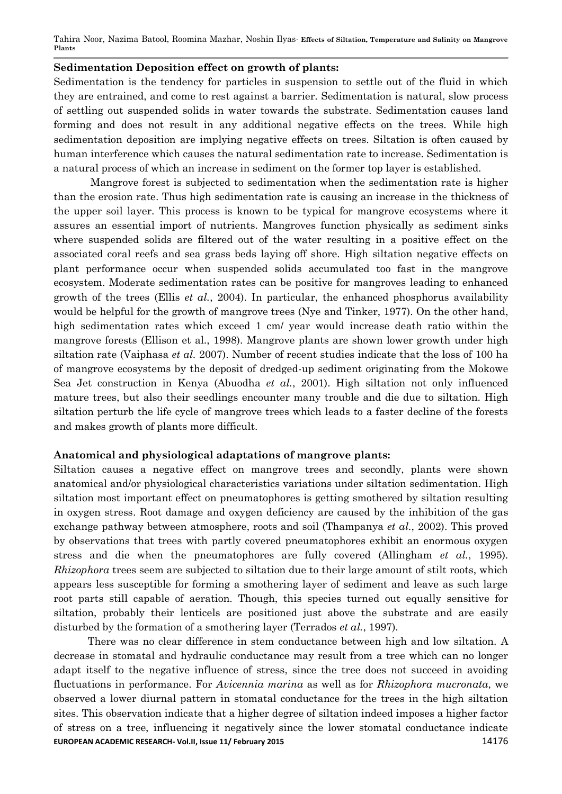#### **Sedimentation Deposition effect on growth of plants:**

Sedimentation is the tendency for [particles](http://en.wikipedia.org/wiki/Particle_%28ecology%29) in [suspension](http://en.wikipedia.org/wiki/Suspension_%28chemistry%29) to settle out of the fluid in which they are entrained, and come to rest against a barrier. Sedimentation is natural, slow process of settling out suspended solids in water towards the substrate. Sedimentation causes land forming and does not result in any additional negative effects on the trees. While high sedimentation deposition are implying negative effects on trees. Siltation is often caused by human interference which causes the natural sedimentation rate to increase. Sedimentation is a natural process of which an increase in sediment on the former top layer is established.

Mangrove forest is subjected to sedimentation when the sedimentation rate is higher than the erosion rate. Thus high sedimentation rate is causing an increase in the thickness of the upper soil layer. This process is known to be typical for mangrove ecosystems where it assures an essential import of nutrients. Mangroves function physically as sediment sinks where suspended solids are filtered out of the water resulting in a positive effect on the associated coral reefs and sea grass beds laying off shore. High siltation negative effects on plant performance occur when suspended solids accumulated too fast in the mangrove ecosystem. Moderate sedimentation rates can be positive for mangroves leading to enhanced growth of the trees (Ellis *et al.*, 2004). In particular, the enhanced phosphorus availability would be helpful for the growth of mangrove trees (Nye and Tinker, 1977). On the other hand, high sedimentation rates which exceed 1 cm/ year would increase death ratio within the mangrove forests (Ellison et al., 1998). Mangrove plants are shown lower growth under high siltation rate (Vaiphasa *et al.* 2007). Number of recent studies indicate that the loss of 100 ha of mangrove ecosystems by the deposit of dredged-up sediment originating from the Mokowe Sea Jet construction in Kenya (Abuodha *et al.*, 2001). High siltation not only influenced mature trees, but also their seedlings encounter many trouble and die due to siltation. High siltation perturb the life cycle of mangrove trees which leads to a faster decline of the forests and makes growth of plants more difficult.

#### **Anatomical and physiological adaptations of mangrove plants:**

Siltation causes a negative effect on mangrove trees and secondly, plants were shown anatomical and/or physiological characteristics variations under siltation sedimentation. High siltation most important effect on pneumatophores is getting smothered by siltation resulting in oxygen stress. Root damage and oxygen deficiency are caused by the inhibition of the gas exchange pathway between atmosphere, roots and soil (Thampanya *et al.*, 2002). This proved by observations that trees with partly covered pneumatophores exhibit an enormous oxygen stress and die when the pneumatophores are fully covered (Allingham *et al.*, 1995). *Rhizophora* trees seem are subjected to siltation due to their large amount of stilt roots, which appears less susceptible for forming a smothering layer of sediment and leave as such large root parts still capable of aeration. Though, this species turned out equally sensitive for siltation, probably their lenticels are positioned just above the substrate and are easily disturbed by the formation of a smothering layer (Terrados *et al.*, 1997).

**EUROPEAN ACADEMIC RESEARCH- Vol.II, Issue 11/ February 2015** 14176 There was no clear difference in stem conductance between high and low siltation. A decrease in stomatal and hydraulic conductance may result from a tree which can no longer adapt itself to the negative influence of stress, since the tree does not succeed in avoiding fluctuations in performance. For *Avicennia marina* as well as for *Rhizophora mucronata*, we observed a lower diurnal pattern in stomatal conductance for the trees in the high siltation sites. This observation indicate that a higher degree of siltation indeed imposes a higher factor of stress on a tree, influencing it negatively since the lower stomatal conductance indicate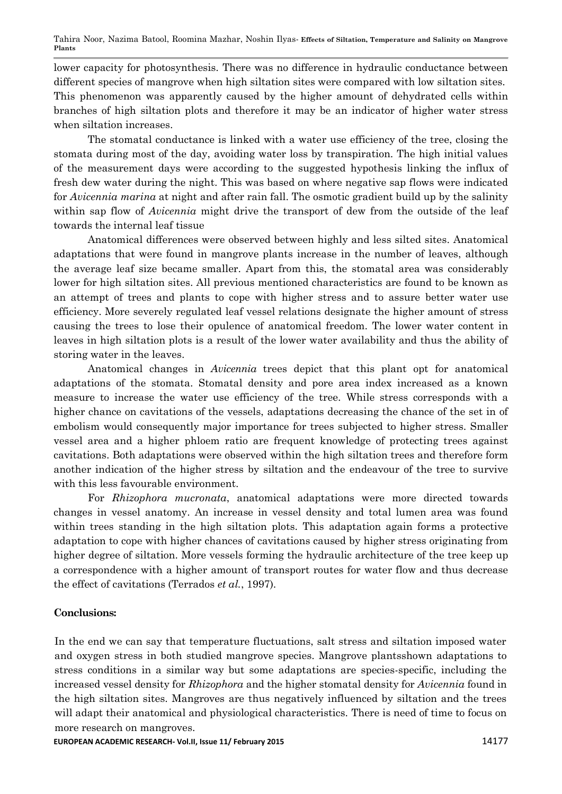lower capacity for photosynthesis. There was no difference in hydraulic conductance between different species of mangrove when high siltation sites were compared with low siltation sites. This phenomenon was apparently caused by the higher amount of dehydrated cells within branches of high siltation plots and therefore it may be an indicator of higher water stress when siltation increases.

The stomatal conductance is linked with a water use efficiency of the tree, closing the stomata during most of the day, avoiding water loss by transpiration. The high initial values of the measurement days were according to the suggested hypothesis linking the influx of fresh dew water during the night. This was based on where negative sap flows were indicated for *Avicennia marina* at night and after rain fall. The osmotic gradient build up by the salinity within sap flow of *Avicennia* might drive the transport of dew from the outside of the leaf towards the internal leaf tissue

Anatomical differences were observed between highly and less silted sites. Anatomical adaptations that were found in mangrove plants increase in the number of leaves, although the average leaf size became smaller. Apart from this, the stomatal area was considerably lower for high siltation sites. All previous mentioned characteristics are found to be known as an attempt of trees and plants to cope with higher stress and to assure better water use efficiency. More severely regulated leaf vessel relations designate the higher amount of stress causing the trees to lose their opulence of anatomical freedom. The lower water content in leaves in high siltation plots is a result of the lower water availability and thus the ability of storing water in the leaves.

Anatomical changes in *Avicennia* trees depict that this plant opt for anatomical adaptations of the stomata. Stomatal density and pore area index increased as a known measure to increase the water use efficiency of the tree. While stress corresponds with a higher chance on cavitations of the vessels, adaptations decreasing the chance of the set in of embolism would consequently major importance for trees subjected to higher stress. Smaller vessel area and a higher phloem ratio are frequent knowledge of protecting trees against cavitations. Both adaptations were observed within the high siltation trees and therefore form another indication of the higher stress by siltation and the endeavour of the tree to survive with this less favourable environment.

For *Rhizophora mucronata*, anatomical adaptations were more directed towards changes in vessel anatomy. An increase in vessel density and total lumen area was found within trees standing in the high siltation plots. This adaptation again forms a protective adaptation to cope with higher chances of cavitations caused by higher stress originating from higher degree of siltation. More vessels forming the hydraulic architecture of the tree keep up a correspondence with a higher amount of transport routes for water flow and thus decrease the effect of cavitations (Terrados *et al.*, 1997).

#### **Conclusions:**

In the end we can say that temperature fluctuations, salt stress and siltation imposed water and oxygen stress in both studied mangrove species. Mangrove plantsshown adaptations to stress conditions in a similar way but some adaptations are species-specific, including the increased vessel density for *Rhizophora* and the higher stomatal density for *Avicennia* found in the high siltation sites. Mangroves are thus negatively influenced by siltation and the trees will adapt their anatomical and physiological characteristics. There is need of time to focus on more research on mangroves.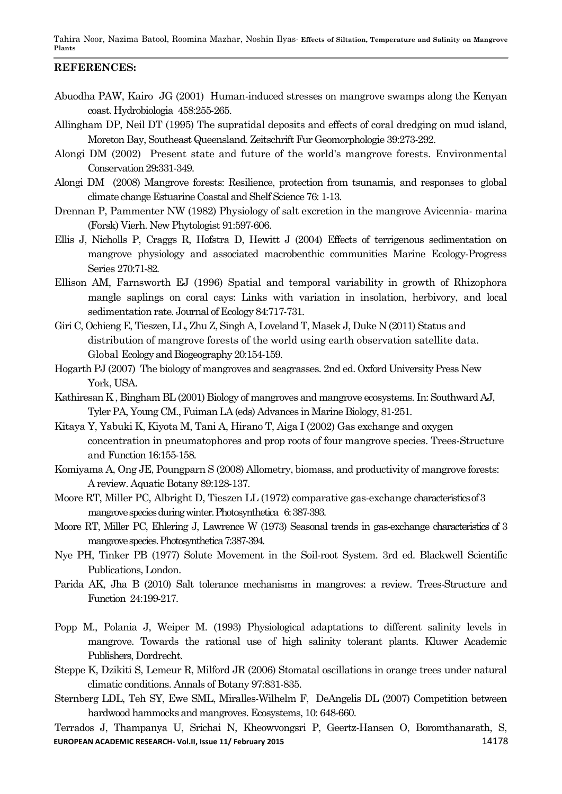### **REFERENCES:**

- Abuodha PAW, Kairo JG (2001) Human-induced stresses on mangrove swamps along the Kenyan coast. Hydrobiologia 458:255-265.
- Allingham DP, Neil DT (1995) The supratidal deposits and effects of coral dredging on mud island, Moreton Bay, Southeast Queensland. Zeitschrift Fur Geomorphologie 39:273-292.
- Alongi DM (2002) Present state and future of the world's mangrove forests. Environmental Conservation29**:**331-349.
- Alongi DM (2008) Mangrove forests: Resilience, protection from tsunamis, and responses to global climate change Estuarine Coastal and Shelf Science 76: 1-13.
- Drennan P, Pammenter NW (1982) Physiology of salt excretion in the mangrove Avicennia- marina (Forsk) Vierh. New Phytologist 91:597-606.
- Ellis J, Nicholls P, Craggs R, Hofstra D, Hewitt J (2004) Effects of terrigenous sedimentation on mangrove physiology and associated macrobenthic communities Marine Ecology-Progress Series 270:71-82.
- Ellison AM, Farnsworth EJ (1996) Spatial and temporal variability in growth of Rhizophora mangle saplings on coral cays: Links with variation in insolation, herbivory, and local sedimentation rate. Journal of Ecology 84:717-731.
- Giri C, Ochieng E, Tieszen, LL, Zhu Z, Singh A, Loveland T, Masek J, Duke N (2011) Status and distribution of mangrove forests of the world using earth observation satellite data. Global Ecology and Biogeography 20:154-159.
- Hogarth PJ (2007) The biology of mangroves and seagrasses. 2nd ed. Oxford University Press New York, USA.
- Kathiresan K, Bingham BL (2001) Biology of mangroves and mangrove ecosystems. In: Southward AJ, TylerPA, Young CM., Fuiman LA (eds) Advances in Marine Biology, 81-251.
- Kitaya Y, Yabuki K, Kiyota M, Tani A, Hirano T, Aiga I (2002) Gas exchange and oxygen concentration in pneumatophores and prop roots of four mangrove species. Trees-Structure and Function 16:155-158.
- Komiyama A, Ong JE, Poungparn S (2008) Allometry, biomass, and productivity of mangrove forests: A review. Aquatic Botany 89:128-137.
- Moore RT, Miller PC, Albright D, Tieszen LL (1972) comparative gas-exchange characteristics of 3 mangrove species during winter. Photosynthetica 6:387-393.
- Moore RT, Miller PC, Ehlering J, Lawrence W (1973) Seasonal trends in gas-exchange characteristics of 3 mangrove species. Photosynthetica 7:387-394.
- Nye PH, Tinker PB (1977) Solute Movement in the Soil-root System. 3rd ed. Blackwell Scientific Publications, London.
- Parida AK, Jha B (2010) Salt tolerance mechanisms in mangroves: a review. Trees-Structure and Function 24:199-217.
- Popp M., Polania J, Weiper M. (1993) Physiological adaptations to different salinity levels in mangrove. Towards the rational use of high salinity tolerant plants. Kluwer Academic Publishers, Dordrecht.
- Steppe K, Dzikiti S, Lemeur R, Milford JR (2006) Stomatal oscillations in orange trees under natural climatic conditions. Annals of Botany 97:831-835.
- Sternberg LDL, Teh SY, Ewe SML, Miralles-Wilhelm F, DeAngelis DL (2007) Competition between hardwood hammocks and mangroves. Ecosystems, 10: 648-660.

**EUROPEAN ACADEMIC RESEARCH- Vol.II, Issue 11/ February 2015** 14178 Terrados J, Thampanya U, Srichai N, Kheowvongsri P, Geertz-Hansen O, Boromthanarath, S,